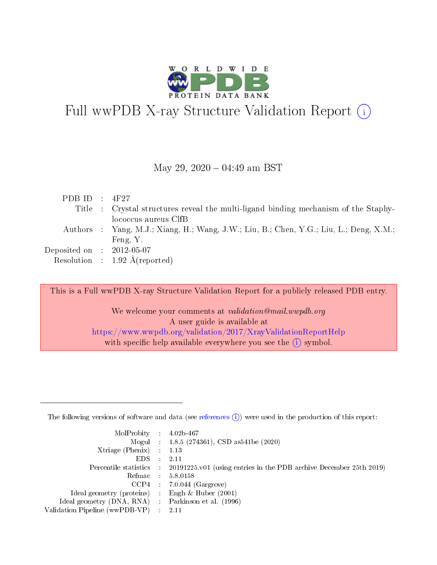

# Full wwPDB X-ray Structure Validation Report (i)

#### May 29, 2020 - 04:49 am BST

| PDB ID : $4F27$             |                                                                                        |
|-----------------------------|----------------------------------------------------------------------------------------|
|                             | Title : Crystal structures reveal the multi-ligand binding mechanism of the Staphy-    |
|                             | lococcus aureus ClfB                                                                   |
|                             | Authors : Yang, M.J.; Xiang, H.; Wang, J.W.; Liu, B.; Chen, Y.G.; Liu, L.; Deng, X.M.; |
|                             | Feng, Y.                                                                               |
| Deposited on : $2012-05-07$ |                                                                                        |
|                             | Resolution : $1.92 \text{ Å}$ (reported)                                               |

This is a Full wwPDB X-ray Structure Validation Report for a publicly released PDB entry.

We welcome your comments at validation@mail.wwpdb.org A user guide is available at <https://www.wwpdb.org/validation/2017/XrayValidationReportHelp> with specific help available everywhere you see the  $(i)$  symbol.

The following versions of software and data (see [references](https://www.wwpdb.org/validation/2017/XrayValidationReportHelp#references)  $(1)$ ) were used in the production of this report:

| MolProbity : $4.02b-467$                           |               |                                                                                            |
|----------------------------------------------------|---------------|--------------------------------------------------------------------------------------------|
|                                                    |               | Mogul : $1.8.5$ (274361), CSD as 541be (2020)                                              |
| Xtriage (Phenix) $: 1.13$                          |               |                                                                                            |
| EDS.                                               | $\mathcal{L}$ | -2.11                                                                                      |
|                                                    |               | Percentile statistics : 20191225.v01 (using entries in the PDB archive December 25th 2019) |
|                                                    |               | Refmac : 5.8.0158                                                                          |
|                                                    |               | $CCP4$ 7.0.044 (Gargrove)                                                                  |
| Ideal geometry (proteins) : Engh $\&$ Huber (2001) |               |                                                                                            |
| Ideal geometry (DNA, RNA) Parkinson et al. (1996)  |               |                                                                                            |
| Validation Pipeline (wwPDB-VP) : 2.11              |               |                                                                                            |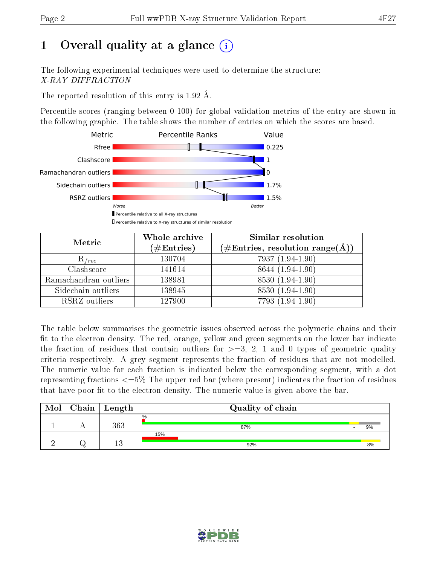# 1 [O](https://www.wwpdb.org/validation/2017/XrayValidationReportHelp#overall_quality)verall quality at a glance  $(i)$

The following experimental techniques were used to determine the structure: X-RAY DIFFRACTION

The reported resolution of this entry is 1.92 Å.

Percentile scores (ranging between 0-100) for global validation metrics of the entry are shown in the following graphic. The table shows the number of entries on which the scores are based.



| Metric                | Whole archive<br>$(\#\mathrm{Entries})$ | Similar resolution<br>$(\#\text{Entries}, \text{resolution range}(\textup{\AA}))$ |
|-----------------------|-----------------------------------------|-----------------------------------------------------------------------------------|
| $R_{free}$            | 130704                                  | 7937 (1.94-1.90)                                                                  |
| Clashscore            | 141614                                  | 8644 (1.94-1.90)                                                                  |
| Ramachandran outliers | 138981                                  | 8530 (1.94-1.90)                                                                  |
| Sidechain outliers    | 138945                                  | 8530 (1.94-1.90)                                                                  |
| RSRZ outliers         | 127900                                  | 7793 (1.94-1.90)                                                                  |

The table below summarises the geometric issues observed across the polymeric chains and their fit to the electron density. The red, orange, yellow and green segments on the lower bar indicate the fraction of residues that contain outliers for  $>=3, 2, 1$  and 0 types of geometric quality criteria respectively. A grey segment represents the fraction of residues that are not modelled. The numeric value for each fraction is indicated below the corresponding segment, with a dot representing fractions  $\epsilon=5\%$  The upper red bar (where present) indicates the fraction of residues that have poor fit to the electron density. The numeric value is given above the bar.

| Mol | $Chain$ Length | Quality of chain |    |
|-----|----------------|------------------|----|
|     | 363            | $\%$<br>87%      | 9% |
|     | 13             | 15%<br>92%       | 8% |

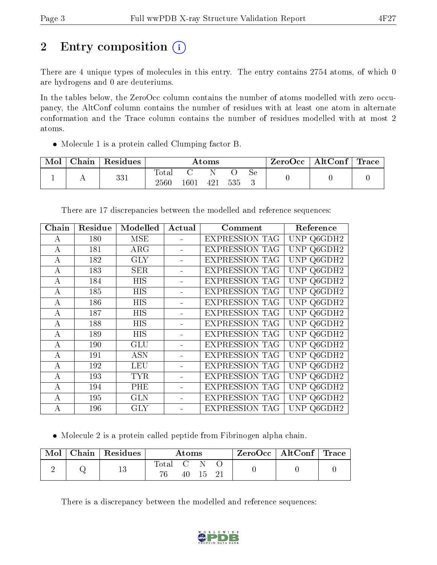# 2 Entry composition  $\left( \cdot \right)$

There are 4 unique types of molecules in this entry. The entry contains 2754 atoms, of which 0 are hydrogens and 0 are deuteriums.

In the tables below, the ZeroOcc column contains the number of atoms modelled with zero occupancy, the AltConf column contains the number of residues with at least one atom in alternate conformation and the Trace column contains the number of residues modelled with at most 2 atoms.

Molecule 1 is a protein called Clumping factor B.

| Mol | $\cap$ hain | Residues | Atoms             |      |     |     | ZeroOcc | $\mid$ AltConf $\mid$ Trace $\mid$ |  |  |
|-----|-------------|----------|-------------------|------|-----|-----|---------|------------------------------------|--|--|
|     |             | 331      | Totar<br>$2560\,$ | 1601 | 421 | 535 | Se      |                                    |  |  |

There are 17 discrepancies between the modelled and reference sequences:

| Chain    | Residue | Modelled   | Actual | Comment               | Reference               |
|----------|---------|------------|--------|-----------------------|-------------------------|
| A        | 180     | <b>MSE</b> |        | <b>EXPRESSION TAG</b> | UNP Q6GDH2              |
| $\bf{A}$ | 181     | $\rm{ARG}$ |        | <b>EXPRESSION TAG</b> | UNP Q6GDH2              |
| A        | 182     | <b>GLY</b> |        | <b>EXPRESSION TAG</b> | UNP Q6GDH2              |
| $\bf{A}$ | 183     | SER        |        | <b>EXPRESSION TAG</b> | UNP $Q6\overline{GDH2}$ |
| $\bf{A}$ | 184     | <b>HIS</b> |        | <b>EXPRESSION TAG</b> | UNP Q6GDH2              |
| A        | 185     | <b>HIS</b> |        | <b>EXPRESSION TAG</b> | UNP Q6GDH2              |
| А        | 186     | HIS        |        | <b>EXPRESSION TAG</b> | UNP Q6GDH2              |
| А        | 187     | HIS        |        | <b>EXPRESSION TAG</b> | UNP Q6GDH2              |
| А        | 188     | HIS        |        | <b>EXPRESSION TAG</b> | UNP Q6GDH2              |
| A        | 189     | HIS        |        | <b>EXPRESSION TAG</b> | UNP Q6GDH2              |
| A        | 190     | <b>GLU</b> |        | <b>EXPRESSION TAG</b> | UNP Q6GDH2              |
| A        | 191     | <b>ASN</b> |        | <b>EXPRESSION TAG</b> | UNP Q6GDH2              |
| A        | 192     | <b>LEU</b> |        | <b>EXPRESSION TAG</b> | UNP Q6GDH2              |
| A        | 193     | <b>TYR</b> |        | <b>EXPRESSION TAG</b> | UNP Q6GDH2              |
| A        | 194     | PHE        |        | <b>EXPRESSION TAG</b> | UNP Q6GDH2              |
| A        | 195     | <b>GLN</b> |        | <b>EXPRESSION TAG</b> | UNP Q6GDH2              |
| А        | 196     | <b>GLY</b> |        | <b>EXPRESSION TAG</b> | UNP Q6GDH2              |

Molecule 2 is a protein called peptide from Fibrinogen alpha chain.

| Mol | $\mid$ Chain $\mid$ Residues | Atoms        |  |      |  | ZeroOcc   AltConf   Trace |  |
|-----|------------------------------|--------------|--|------|--|---------------------------|--|
|     |                              | Total<br>76. |  | - 15 |  |                           |  |

There is a discrepancy between the modelled and reference sequences:

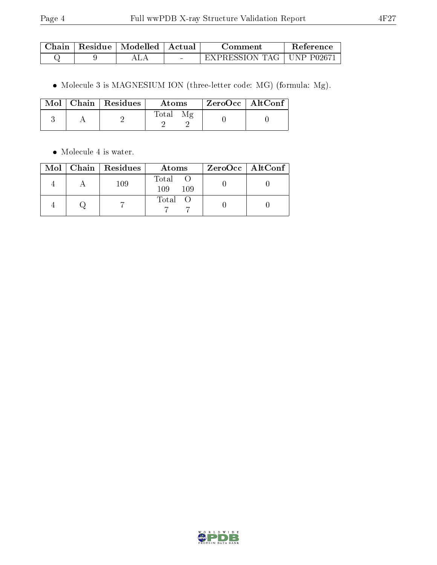|--|--|

| Chain | Residue | $\perp$ Modelled $\perp$ | ' Actual | Comment          | <b>Reference</b>                        |
|-------|---------|--------------------------|----------|------------------|-----------------------------------------|
|       |         |                          | $\sim$   | EXPRESSION TAG 1 | $+$ UNP P0267 <sup><math>+</math></sup> |

Molecule 3 is MAGNESIUM ION (three-letter code: MG) (formula: Mg).

|  | $Mol$   Chain   Residues | Atoms              | $ZeroOcc$   AltConf |  |
|--|--------------------------|--------------------|---------------------|--|
|  |                          | Μg<br><b>Total</b> |                     |  |

Molecule 4 is water.

|  | $Mol$   Chain   Residues | Atoms               | $ZeroOcc$   AltConf |
|--|--------------------------|---------------------|---------------------|
|  | 109                      | Total<br>109<br>109 |                     |
|  |                          | Total O             |                     |

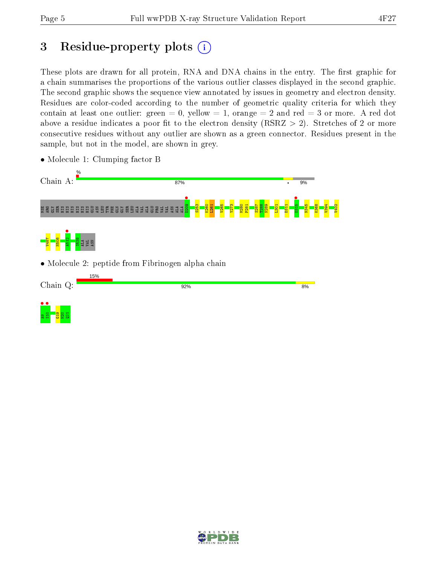# 3 Residue-property plots  $(i)$

These plots are drawn for all protein, RNA and DNA chains in the entry. The first graphic for a chain summarises the proportions of the various outlier classes displayed in the second graphic. The second graphic shows the sequence view annotated by issues in geometry and electron density. Residues are color-coded according to the number of geometric quality criteria for which they contain at least one outlier: green  $= 0$ , yellow  $= 1$ , orange  $= 2$  and red  $= 3$  or more. A red dot above a residue indicates a poor fit to the electron density (RSRZ  $> 2$ ). Stretches of 2 or more consecutive residues without any outlier are shown as a green connector. Residues present in the sample, but not in the model, are shown in grey.



• Molecule 1: Clumping factor B

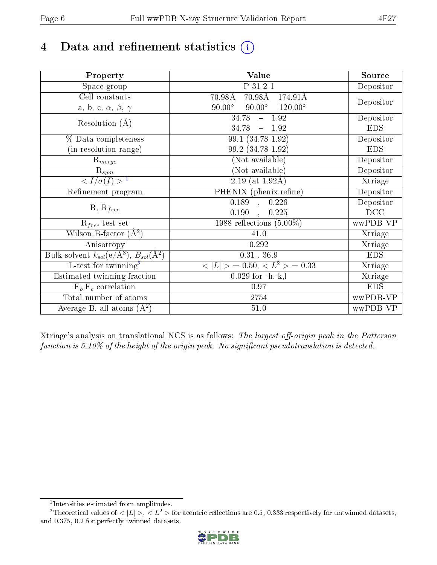# 4 Data and refinement statistics  $(i)$

| Property                                                             | Value                                              | Source     |
|----------------------------------------------------------------------|----------------------------------------------------|------------|
| Space group                                                          | P 31 2 1                                           | Depositor  |
| Cell constants                                                       | 70.98Å<br>70.98Å<br>174.91Å                        |            |
| a, b, c, $\alpha$ , $\beta$ , $\gamma$                               | $90.00^\circ$<br>$90.00^\circ$<br>$120.00^{\circ}$ | Depositor  |
| Resolution $(A)$                                                     | 34.78<br>$-1.92$                                   | Depositor  |
|                                                                      | 34.78<br>$-1.92$                                   | <b>EDS</b> |
| % Data completeness                                                  | 99.1 (34.78-1.92)                                  | Depositor  |
| (in resolution range)                                                | 99.2 (34.78-1.92)                                  | <b>EDS</b> |
| $R_{merge}$                                                          | (Not available)                                    | Depositor  |
| $\mathrm{R}_{sym}$                                                   | (Not available)                                    | Depositor  |
| $\sqrt{I/\sigma}(I) > 1$                                             | 2.19 (at $1.92\text{\AA}$ )                        | Xtriage    |
| Refinement program                                                   | PHENIX (phenix.refine)                             | Depositor  |
|                                                                      | 0.226<br>$\overline{0.189}$ ,                      | Depositor  |
| $R, R_{free}$                                                        | 0.190<br>0.225                                     | DCC        |
| $R_{free}$ test set                                                  | 1988 reflections $(5.00\%)$                        | wwPDB-VP   |
| Wilson B-factor $(A^2)$                                              | 41.0                                               | Xtriage    |
| Anisotropy                                                           | 0.292                                              | Xtriage    |
| Bulk solvent $k_{sol}(e/\mathring{A}^3)$ , $B_{sol}(\mathring{A}^2)$ | $0.31$ , 36.9                                      | <b>EDS</b> |
| L-test for twinning <sup>2</sup>                                     | $< L >$ = 0.50, $< L2$ > = 0.33                    | Xtriage    |
| Estimated twinning fraction                                          | $0.029$ for $-h,-k,l$                              | Xtriage    |
| $F_o, F_c$ correlation                                               | 0.97                                               | <b>EDS</b> |
| Total number of atoms                                                | 2754                                               | wwPDB-VP   |
| Average B, all atoms $(A^2)$                                         | $51.0\,$                                           | wwPDB-VP   |

Xtriage's analysis on translational NCS is as follows: The largest off-origin peak in the Patterson function is  $5.10\%$  of the height of the origin peak. No significant pseudotranslation is detected.

<sup>&</sup>lt;sup>2</sup>Theoretical values of  $\langle |L| \rangle$ ,  $\langle L^2 \rangle$  for acentric reflections are 0.5, 0.333 respectively for untwinned datasets, and 0.375, 0.2 for perfectly twinned datasets.



<span id="page-5-1"></span><span id="page-5-0"></span><sup>1</sup> Intensities estimated from amplitudes.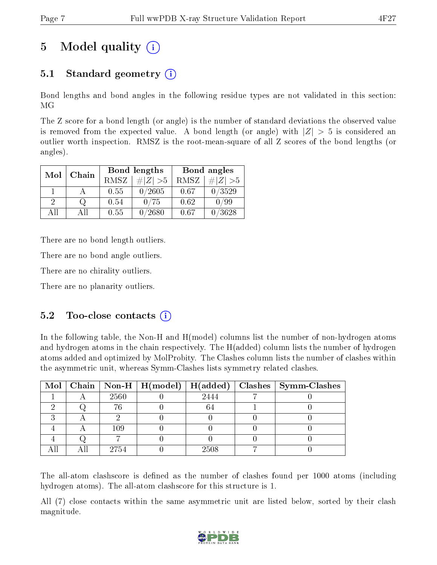# 5 Model quality  $(i)$

### 5.1 Standard geometry  $(i)$

Bond lengths and bond angles in the following residue types are not validated in this section: MG

The Z score for a bond length (or angle) is the number of standard deviations the observed value is removed from the expected value. A bond length (or angle) with  $|Z| > 5$  is considered an outlier worth inspection. RMSZ is the root-mean-square of all Z scores of the bond lengths (or angles).

| Mol | Chain |             | Bond lengths  |      | Bond angles |
|-----|-------|-------------|---------------|------|-------------|
|     |       | <b>RMSZ</b> | $\# Z  > 5$   | RMSZ | $\ Z\  > 5$ |
|     |       | 0.55        | 0/2605        | 0.67 | 0/3529      |
| 2   |       | 0.54        | 0/75          | 0.62 | 0/99        |
| АH  | A 11  | 0.55        | $^\prime2680$ | 0.67 | 0/3628      |

There are no bond length outliers.

There are no bond angle outliers.

There are no chirality outliers.

There are no planarity outliers.

### $5.2$  Too-close contacts  $(i)$

In the following table, the Non-H and H(model) columns list the number of non-hydrogen atoms and hydrogen atoms in the chain respectively. The H(added) column lists the number of hydrogen atoms added and optimized by MolProbity. The Clashes column lists the number of clashes within the asymmetric unit, whereas Symm-Clashes lists symmetry related clashes.

|  |      |      | Mol   Chain   Non-H   H(model)   H(added)   Clashes   Symm-Clashes |
|--|------|------|--------------------------------------------------------------------|
|  | 2560 | 2444 |                                                                    |
|  | 76   |      |                                                                    |
|  |      |      |                                                                    |
|  | 109  |      |                                                                    |
|  |      |      |                                                                    |
|  | 2754 | 2508 |                                                                    |

The all-atom clashscore is defined as the number of clashes found per 1000 atoms (including hydrogen atoms). The all-atom clashscore for this structure is 1.

All (7) close contacts within the same asymmetric unit are listed below, sorted by their clash magnitude.

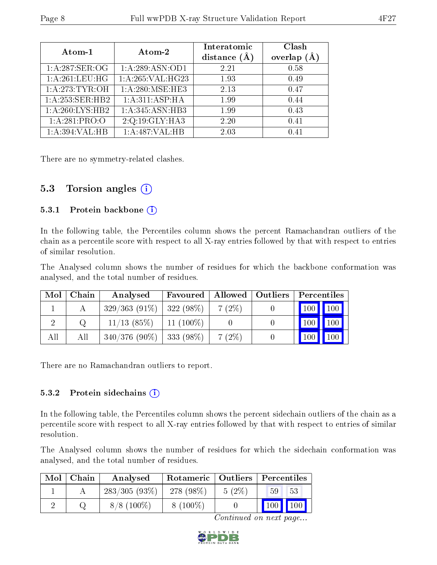| Atom-1           | Atom-2            | Interatomic<br>distance $(A)$ | Clash<br>overlap $(A)$ |
|------------------|-------------------|-------------------------------|------------------------|
| 1:A:287:SER:OG   | 1:A:289:ASN:OD1   | 2.21                          | 0.58                   |
| 1:A:261:LEU:HG   | 1: A:265:VAL:HG23 | 1.93                          | 0.49                   |
| 1:A:273:TYR:OH   | 1:A:280:MSE:HE3   | 2.13                          | 0.47                   |
| 1:A:253:SER:HB2  | 1:A:311:ASP:HA    | 1.99                          | 0.44                   |
| 1:A:260:LYS:HB2  | 1:A:345:ASN:HB3   | 1.99                          | 0.43                   |
| 1:A:281:PRO:O    | 2:Q:19:GLY:HA3    | 2.20                          | 0.41                   |
| 1: A:394: VAL:HB | 1:A:487:VAL:HB    | 2.03                          | 0.41                   |

There are no symmetry-related clashes.

### 5.3 Torsion angles  $(i)$

#### 5.3.1 Protein backbone (i)

In the following table, the Percentiles column shows the percent Ramachandran outliers of the chain as a percentile score with respect to all X-ray entries followed by that with respect to entries of similar resolution.

The Analysed column shows the number of residues for which the backbone conformation was analysed, and the total number of residues.

| Mol | Chain | Analysed                      | Favoured    |          | $\mid$ Allowed $\mid$ Outliers $\mid$ Percentiles $\mid$ |
|-----|-------|-------------------------------|-------------|----------|----------------------------------------------------------|
|     |       | $329/363(91\%)$               | $322(98\%)$ | $7(2\%)$ | $\boxed{100}$ $\boxed{100}$                              |
|     |       | $11/13$ (85%)                 | $11(100\%)$ |          | 100<br>$100 \mid$                                        |
| All | All   | $340/376$ (90\%)   333 (98\%) |             | $7(2\%)$ | $100$   $100$                                            |

There are no Ramachandran outliers to report.

#### 5.3.2 Protein sidechains (i)

In the following table, the Percentiles column shows the percent sidechain outliers of the chain as a percentile score with respect to all X-ray entries followed by that with respect to entries of similar resolution.

The Analysed column shows the number of residues for which the sidechain conformation was analysed, and the total number of residues.

| Mol | Chain | Analysed        |             |          | Rotameric   Outliers   Percentiles |
|-----|-------|-----------------|-------------|----------|------------------------------------|
|     |       | $283/305(93\%)$ | $278(98\%)$ | $5(2\%)$ | 59<br>53                           |
|     |       | $8/8$ (100\%)   | $8(100\%)$  |          | 100<br>100                         |

Continued on next page...

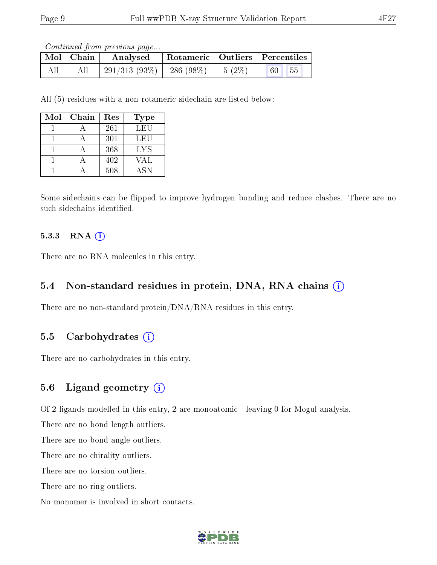Continued from previous page...

| Mol   Chain | $^\mathrm{+}$ Rotameric   Outliers   Percentiles<br>Analysed |  |                              |                       |
|-------------|--------------------------------------------------------------|--|------------------------------|-----------------------|
| All         | $\pm 291/313(93\%)$   286 (98%)                              |  | $\degree$ $\pm$ 5 (2%) $\pm$ | 60 <sup>1</sup><br>55 |

All (5) residues with a non-rotameric sidechain are listed below:

| Mol | Chain | Res | Type       |
|-----|-------|-----|------------|
|     |       | 261 | LEU        |
|     |       | 301 | LEU        |
|     |       | 368 | LYS        |
|     |       | 402 | VAL        |
|     |       | 508 | <b>ASN</b> |

Some sidechains can be flipped to improve hydrogen bonding and reduce clashes. There are no such sidechains identified.

#### 5.3.3 RNA (i)

There are no RNA molecules in this entry.

#### 5.4 Non-standard residues in protein, DNA, RNA chains (i)

There are no non-standard protein/DNA/RNA residues in this entry.

#### 5.5 Carbohydrates (i)

There are no carbohydrates in this entry.

#### 5.6 Ligand geometry  $(i)$

Of 2 ligands modelled in this entry, 2 are monoatomic - leaving 0 for Mogul analysis.

There are no bond length outliers.

There are no bond angle outliers.

There are no chirality outliers.

There are no torsion outliers.

There are no ring outliers.

No monomer is involved in short contacts.

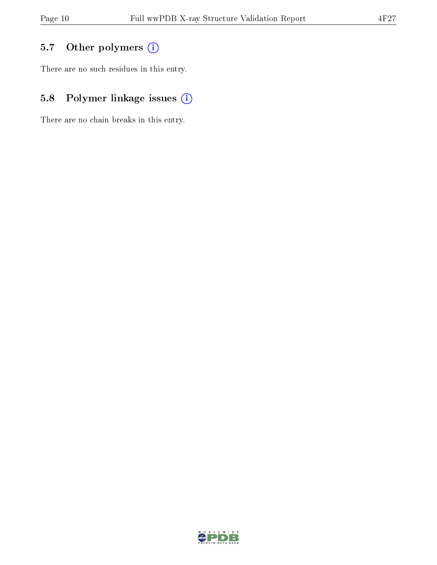### 5.7 [O](https://www.wwpdb.org/validation/2017/XrayValidationReportHelp#nonstandard_residues_and_ligands)ther polymers (i)

There are no such residues in this entry.

### 5.8 Polymer linkage issues (i)

There are no chain breaks in this entry.

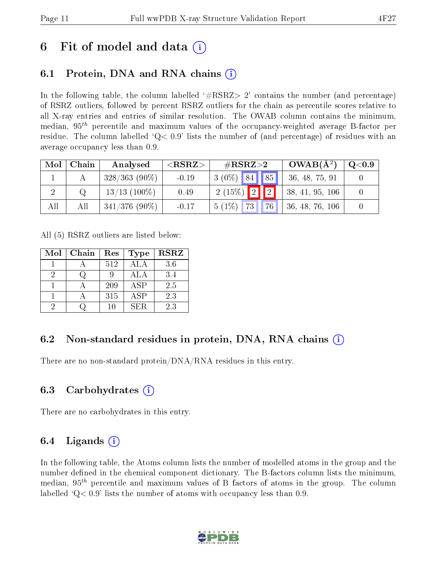# 6 Fit of model and data  $\left( \cdot \right)$

## 6.1 Protein, DNA and RNA chains (i)

In the following table, the column labelled  $#RSRZ>2'$  contains the number (and percentage) of RSRZ outliers, followed by percent RSRZ outliers for the chain as percentile scores relative to all X-ray entries and entries of similar resolution. The OWAB column contains the minimum, median,  $95<sup>th</sup>$  percentile and maximum values of the occupancy-weighted average B-factor per residue. The column labelled  $Q< 0.9$  lists the number of (and percentage) of residues with an average occupancy less than 0.9.

| Mol | Chain | Analysed        | ${ <\hspace{-1.5pt}{\mathrm{RSRZ}} \hspace{-1.5pt}>}$ | $\#\text{RSRZ}{>}2$                 | $OWAB(A^2)$     | $\mathrm{Q} {<} 0.9$ |
|-----|-------|-----------------|-------------------------------------------------------|-------------------------------------|-----------------|----------------------|
|     |       | $328/363(90\%)$ | $-0.19$                                               | $3(0\%)$ 84 85                      | 36, 48, 75, 91  |                      |
|     |       | $13/13$ (100\%) | 0.49                                                  | $2(15\%)$ 2 2                       | 38, 41, 95, 106 |                      |
| All | All   | $341/376$ (90%) | $-0.17$                                               | $5(1\%)$<br>$\pm 73$ $\Gamma$<br>76 | 36, 48, 76, 106 |                      |

All (5) RSRZ outliers are listed below:

| Mol | Chain | Res    | <b>Type</b> | <b>RSRZ</b> |
|-----|-------|--------|-------------|-------------|
|     |       | 512    | <b>ALA</b>  | 3.6         |
| 9   |       |        | ALA         | 3.4         |
|     |       | 209    | ${\rm ASP}$ | 2.5         |
|     |       | 315    | $\rm{ASP}$  | 2.3         |
|     |       | $10\,$ | SER         | 2.3         |

### 6.2 Non-standard residues in protein, DNA, RNA chains  $(i)$

There are no non-standard protein/DNA/RNA residues in this entry.

### 6.3 Carbohydrates (i)

There are no carbohydrates in this entry.

### 6.4 Ligands  $(i)$

In the following table, the Atoms column lists the number of modelled atoms in the group and the number defined in the chemical component dictionary. The B-factors column lists the minimum, median,  $95<sup>th</sup>$  percentile and maximum values of B factors of atoms in the group. The column labelled  $Q< 0.9$  lists the number of atoms with occupancy less than 0.9.